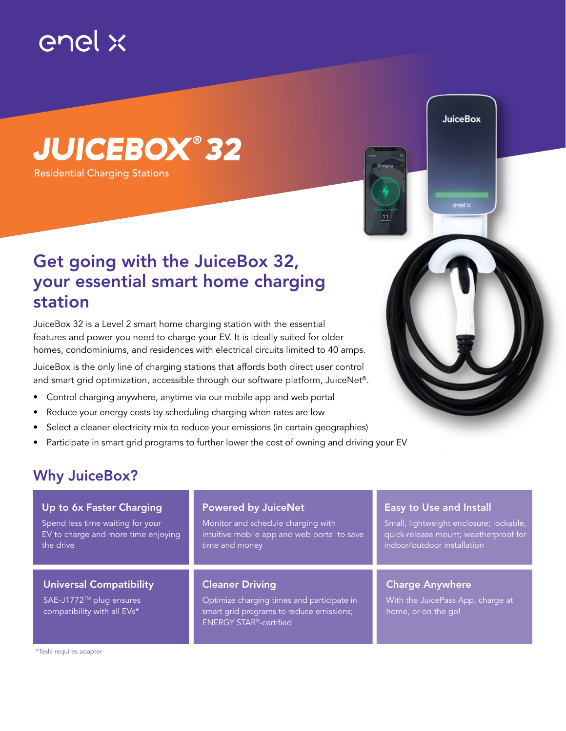

Residential Charging Stations *JUICEBOX ® 32*

## Get going with the JuiceBox 32, your essential smart home charging station

JuiceBox 32 is a Level 2 smart home charging station with the essential features and power you need to charge your EV. It is ideally suited for older homes, condominiums, and residences with electrical circuits limited to 40 amps.

JuiceBox is the only line of charging stations that affords both direct user control and smart grid optimization, accessible through our software platform, JuiceNet®.

- Control charging anywhere, anytime via our mobile app and web portal
- Reduce your energy costs by scheduling charging when rates are low
- Select a cleaner electricity mix to reduce your emissions (in certain geographies)
- Participate in smart grid programs to further lower the cost of owning and driving your EV

## Why JuiceBox?

\*Tesla requires adapter

| Up to 6x Faster Charging                                                          | <b>Powered by JuiceNet</b>                                                                                                                        | Easy to Use and Install                                                            |
|-----------------------------------------------------------------------------------|---------------------------------------------------------------------------------------------------------------------------------------------------|------------------------------------------------------------------------------------|
| Spend less time waiting for your                                                  | Monitor and schedule charging with                                                                                                                | Small, lightweight enclosure; lockable,                                            |
| EV to charge and more time enjoying                                               | intuitive mobile app and web portal to save                                                                                                       | quick-release mount; weatherproof for                                              |
| the drive                                                                         | time and money                                                                                                                                    | indoor/outdoor installation                                                        |
| Universal Compatibility<br>SAE-J1772™ plug ensures<br>compatibility with all EVs* | <b>Cleaner Driving</b><br>Optimize charging times and participate in<br>smart grid programs to reduce emissions;<br><b>ENERGY STAR®-certified</b> | <b>Charge Anywhere</b><br>With the JuicePass App, charge at<br>home, or on the go! |

**JuiceBox** 

enel »

 $11$